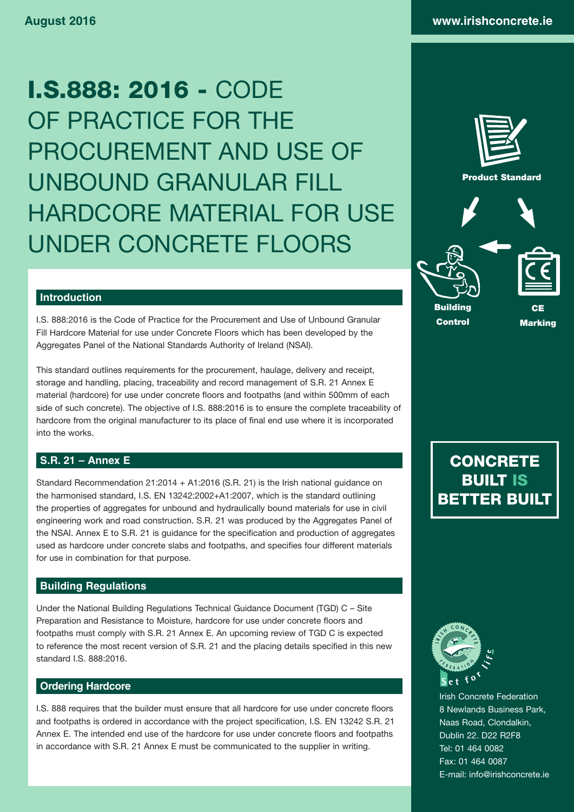I.S.888: 2016 - CODE OF PRACTICE FOR THE PROCUREMENT AND USE OF UNBOUND GRANULAR FILL HARDCORE MATERIAL FOR USE UNDER CONCRETE FLOORS



## **Introduction**

I.S. 888:2016 is the Code of Practice for the Procurement and Use of Unbound Granular Fill Hardcore Material for use under Concrete Floors which has been developed by the Aggregates Panel of the National Standards Authority of Ireland (NSAI).

This standard outlines requirements for the procurement, haulage, delivery and receipt, storage and handling, placing, traceability and record management of S.R. 21 Annex E material (hardcore) for use under concrete floors and footpaths (and within 500mm of each side of such concrete). The objective of I.S. 888:2016 is to ensure the complete traceability of hardcore from the original manufacturer to its place of final end use where it is incorporated into the works.

## **S.R. 21 – Annex E**

Standard Recommendation 21:2014 + A1:2016 (S.R. 21) is the Irish national guidance on the harmonised standard, I.S. EN 13242:2002+A1:2007, which is the standard outlining the properties of aggregates for unbound and hydraulically bound materials for use in civil engineering work and road construction. S.R. 21 was produced by the Aggregates Panel of the NSAI. Annex E to S.R. 21 is guidance for the specification and production of aggregates used as hardcore under concrete slabs and footpaths, and specifies four different materials for use in combination for that purpose.

## **Building Regulations**

Under the National Building Regulations Technical Guidance Document (TGD) C – Site Preparation and Resistance to Moisture, hardcore for use under concrete floors and footpaths must comply with S.R. 21 Annex E. An upcoming review of TGD C is expected to reference the most recent version of S.R. 21 and the placing details specified in this new standard I.S. 888:2016.

## **Ordering Hardcore**

I.S. 888 requires that the builder must ensure that all hardcore for use under concrete floors and footpaths is ordered in accordance with the project specification, I.S. EN 13242 S.R. 21 Annex E. The intended end use of the hardcore for use under concrete floors and footpaths in accordance with S.R. 21 Annex E must be communicated to the supplier in writing.

**CONCRETE** BUILT IS BETTER BUILT



Irish Concrete Federation 8 Newlands Business Park, Naas Road, Clondalkin, Dublin 22. D22 R2F8 Tel: 01 464 0082 Fax: 01 464 0087 E-mail: info@irishconcrete.ie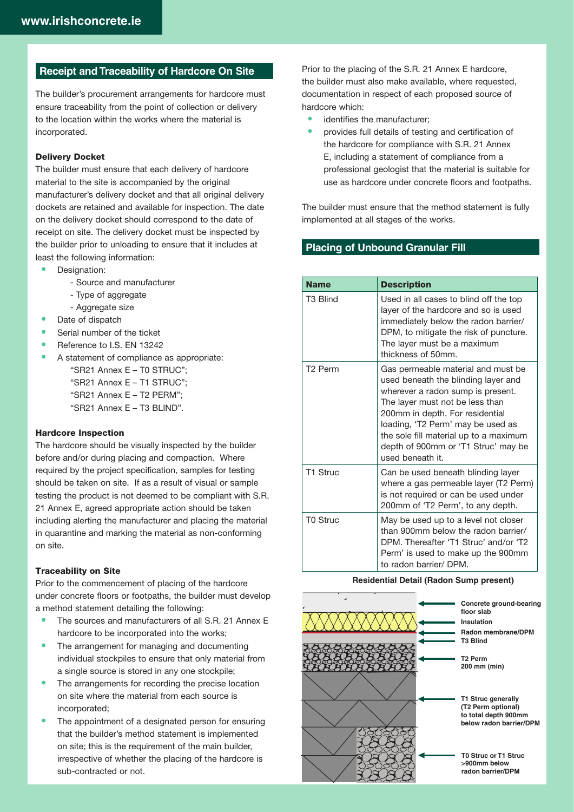## **Receipt and Traceability of Hardcore On Site**

The builder's procurement arrangements for hardcore must ensure traceability from the point of collection or delivery to the location within the works where the material is incorporated.

#### Delivery Docket

The builder must ensure that each delivery of hardcore material to the site is accompanied by the original manufacturer's delivery docket and that all original delivery dockets are retained and available for inspection. The date on the delivery docket should correspond to the date of receipt on site. The delivery docket must be inspected by the builder prior to unloading to ensure that it includes at least the following information:

- Designation:
	- Source and manufacturer
	- Type of aggregate
	- Aggregate size
- Date of dispatch
- Serial number of the ticket
- Reference to I.S. EN 13242
- A statement of compliance as appropriate:
	- "SR21 Annex E T0 STRUC"; "SR21 Annex E – T1 STRUC"; "SR21 Annex E – T2 PERM"; "SR21 Annex E – T3 BLIND".

#### Hardcore Inspection

The hardcore should be visually inspected by the builder before and/or during placing and compaction. Where required by the project specification, samples for testing should be taken on site. If as a result of visual or sample testing the product is not deemed to be compliant with S.R. 21 Annex E, agreed appropriate action should be taken including alerting the manufacturer and placing the material in quarantine and marking the material as non-conforming on site.

#### Traceability on Site

Prior to the commencement of placing of the hardcore under concrete floors or footpaths, the builder must develop a method statement detailing the following:

- The sources and manufacturers of all S.R. 21 Annex E hardcore to be incorporated into the works;
- The arrangement for managing and documenting individual stockpiles to ensure that only material from a single source is stored in any one stockpile;
- The arrangements for recording the precise location on site where the material from each source is incorporated;
- The appointment of a designated person for ensuring that the builder's method statement is implemented on site; this is the requirement of the main builder, irrespective of whether the placing of the hardcore is sub-contracted or not.

Prior to the placing of the S.R. 21 Annex E hardcore, the builder must also make available, where requested, documentation in respect of each proposed source of hardcore which:

- identifies the manufacturer:
- provides full details of testing and certification of the hardcore for compliance with S.R. 21 Annex E, including a statement of compliance from a professional geologist that the material is suitable for use as hardcore under concrete floors and footpaths.

The builder must ensure that the method statement is fully implemented at all stages of the works.

## **Placing of Unbound Granular Fill**

| <b>Name</b>         | <b>Description</b>                                                                                                                                                                                                                                                                                                             |
|---------------------|--------------------------------------------------------------------------------------------------------------------------------------------------------------------------------------------------------------------------------------------------------------------------------------------------------------------------------|
| T3 Blind            | Used in all cases to blind off the top<br>layer of the hardcore and so is used<br>immediately below the radon barrier/<br>DPM, to mitigate the risk of puncture.<br>The layer must be a maximum<br>thickness of 50mm.                                                                                                          |
| T <sub>2</sub> Perm | Gas permeable material and must be<br>used beneath the blinding layer and<br>wherever a radon sump is present.<br>The layer must not be less than<br>200mm in depth. For residential<br>loading, 'T2 Perm' may be used as<br>the sole fill material up to a maximum<br>depth of 900mm or 'T1 Struc' may be<br>used beneath it. |
| T1 Struc            | Can be used beneath blinding layer<br>where a gas permeable layer (T2 Perm)<br>is not required or can be used under<br>200mm of 'T2 Perm', to any depth.                                                                                                                                                                       |
| T0 Struc            | May be used up to a level not closer<br>than 900mm below the radon barrier/<br>DPM. Thereafter 'T1 Struc' and/or 'T2<br>Perm' is used to make up the 900mm<br>to radon barrier/DPM.                                                                                                                                            |

#### **Residential Detail (Radon Sump present)**

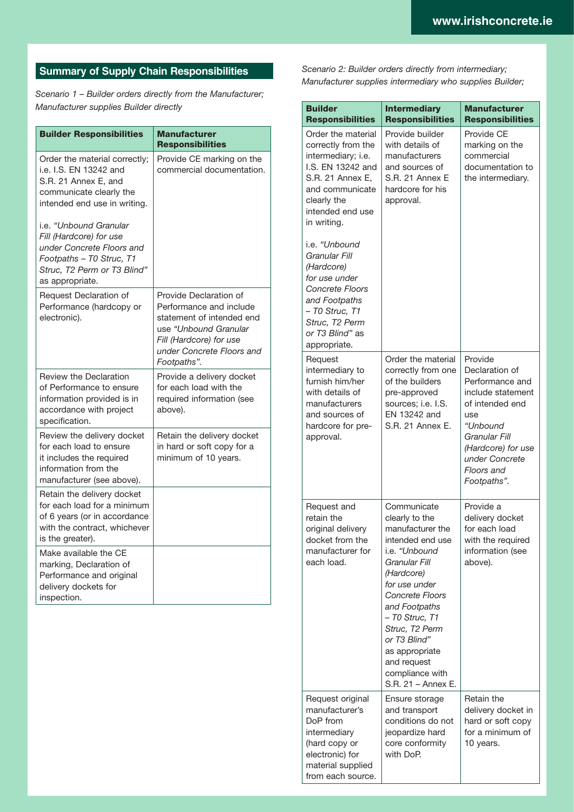# **Summary of Supply Chain Responsibilities**

*Scenario 1 – Builder orders directly from the Manufacturer; Manufacturer supplies Builder directly* 

| <b>Builder Responsibilities</b>                                                                                                                              | <b>Manufacturer</b><br><b>Responsibilities</b>                                                                                                                                 |
|--------------------------------------------------------------------------------------------------------------------------------------------------------------|--------------------------------------------------------------------------------------------------------------------------------------------------------------------------------|
| Order the material correctly;<br>i.e. I.S. EN 13242 and<br>S.R. 21 Annex E. and<br>communicate clearly the<br>intended end use in writing.                   | Provide CE marking on the<br>commercial documentation.                                                                                                                         |
| i.e. "Unbound Granular<br>Fill (Hardcore) for use<br>under Concrete Floors and<br>Footpaths - T0 Struc, T1<br>Struc, T2 Perm or T3 Blind"<br>as appropriate. |                                                                                                                                                                                |
| Request Declaration of<br>Performance (hardcopy or<br>electronic).                                                                                           | Provide Declaration of<br>Performance and include<br>statement of intended end<br>use "Unbound Granular<br>Fill (Hardcore) for use<br>under Concrete Floors and<br>Footpaths". |
| <b>Review the Declaration</b><br>of Performance to ensure<br>information provided is in<br>accordance with project<br>specification.                         | Provide a delivery docket<br>for each load with the<br>required information (see<br>above).                                                                                    |
| Review the delivery docket<br>for each load to ensure<br>it includes the required<br>information from the<br>manufacturer (see above).                       | Retain the delivery docket<br>in hard or soft copy for a<br>minimum of 10 years.                                                                                               |
| Retain the delivery docket<br>for each load for a minimum<br>of 6 years (or in accordance<br>with the contract, whichever<br>is the greater).                |                                                                                                                                                                                |
| Make available the CE<br>marking, Declaration of<br>Performance and original<br>delivery dockets for<br>inspection.                                          |                                                                                                                                                                                |

*Scenario 2: Builder orders directly from intermediary; Manufacturer supplies intermediary who supplies Builder;*

| <b>Builder</b><br><b>Responsibilities</b>                                                                                                                                       | <b>Intermediary</b><br><b>Responsibilities</b>                                                                                                                                                                                                                                                           | <b>Manufacturer</b><br><b>Responsibilities</b>                                                                                                                                                |
|---------------------------------------------------------------------------------------------------------------------------------------------------------------------------------|----------------------------------------------------------------------------------------------------------------------------------------------------------------------------------------------------------------------------------------------------------------------------------------------------------|-----------------------------------------------------------------------------------------------------------------------------------------------------------------------------------------------|
| Order the material<br>correctly from the<br>intermediary; i.e.<br>I.S. EN 13242 and<br>S.R. 21 Annex E,<br>and communicate<br>clearly the<br>intended end use<br>in writing.    | Provide builder<br>with details of<br>manufacturers<br>and sources of<br>S.R. 21 Annex E<br>hardcore for his<br>approval.                                                                                                                                                                                | Provide CE<br>marking on the<br>commercial<br>documentation to<br>the intermediary.                                                                                                           |
| i.e. "Unbound<br>Granular Fill<br>(Hardcore)<br>for use under<br><b>Concrete Floors</b><br>and Footpaths<br>- T0 Struc, T1<br>Struc, T2 Perm<br>or T3 Blind" as<br>appropriate. |                                                                                                                                                                                                                                                                                                          |                                                                                                                                                                                               |
| Request<br>intermediary to<br>furnish him/her<br>with details of<br>manufacturers<br>and sources of<br>hardcore for pre-<br>approval.                                           | Order the material<br>correctly from one<br>of the builders<br>pre-approved<br>sources; i.e. I.S.<br>EN 13242 and<br>S.R. 21 Annex E.                                                                                                                                                                    | Provide<br>Declaration of<br>Performance and<br>include statement<br>of intended end<br>use<br>"Unbound<br>Granular Fill<br>(Hardcore) for use<br>under Concrete<br>Floors and<br>Footpaths". |
| Request and<br>retain the<br>original delivery<br>docket from the<br>manufacturer for<br>each load.                                                                             | Communicate<br>clearly to the<br>manufacturer the<br>intended end use<br>i.e. "Unbound<br>Granular Fill<br>(Hardcore)<br>for use under<br>Concrete Floors<br>and Footpaths<br>- T0 Struc, T1<br>Struc, T2 Perm<br>or T3 Blind"<br>as appropriate<br>and request<br>compliance with<br>S.R. 21 - Annex E. | Provide a<br>delivery docket<br>for each load<br>with the required<br>information (see<br>above).                                                                                             |
| Request original<br>manufacturer's<br>DoP from<br>intermediary<br>(hard copy or<br>electronic) for<br>material supplied<br>from each source.                                    | Ensure storage<br>and transport<br>conditions do not<br>jeopardize hard<br>core conformity<br>with DoP.                                                                                                                                                                                                  | Retain the<br>delivery docket in<br>hard or soft copy<br>for a minimum of<br>10 years.                                                                                                        |